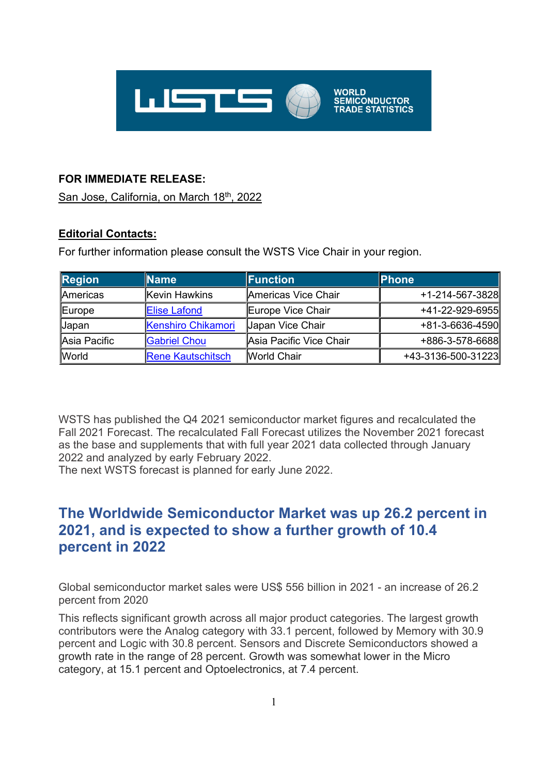

## **FOR IMMEDIATE RELEASE:**

San Jose, California, on March 18th, 2022

## **Editorial Contacts:**

For further information please consult the WSTS Vice Chair in your region.

| <b>Region</b> | <b>Name</b>               | Function                | <b>Phone</b>       |
|---------------|---------------------------|-------------------------|--------------------|
| Americas      | Kevin Hawkins             | Americas Vice Chair     | +1-214-567-3828    |
| Europe        | <b>Elise Lafond</b>       | Europe Vice Chair       | +41-22-929-6955    |
| <b>Japan</b>  | <b>Kenshiro Chikamori</b> | <b>Japan Vice Chair</b> | +81-3-6636-4590    |
| Asia Pacific  | <b>Gabriel Chou</b>       | Asia Pacific Vice Chair | +886-3-578-6688    |
| <b>World</b>  | <b>Rene Kautschitsch</b>  | <b>World Chair</b>      | +43-3136-500-31223 |

WSTS has published the Q4 2021 semiconductor market figures and recalculated the Fall 2021 Forecast. The recalculated Fall Forecast utilizes the November 2021 forecast as the base and supplements that with full year 2021 data collected through January 2022 and analyzed by early February 2022.

The next WSTS forecast is planned for early June 2022.

# **The Worldwide Semiconductor Market was up 26.2 percent in 2021, and is expected to show a further growth of 10.4 percent in 2022**

Global semiconductor market sales were US\$ 556 billion in 2021 - an increase of 26.2 percent from 2020

This reflects significant growth across all major product categories. The largest growth contributors were the Analog category with 33.1 percent, followed by Memory with 30.9 percent and Logic with 30.8 percent. Sensors and Discrete Semiconductors showed a growth rate in the range of 28 percent. Growth was somewhat lower in the Micro category, at 15.1 percent and Optoelectronics, at 7.4 percent.